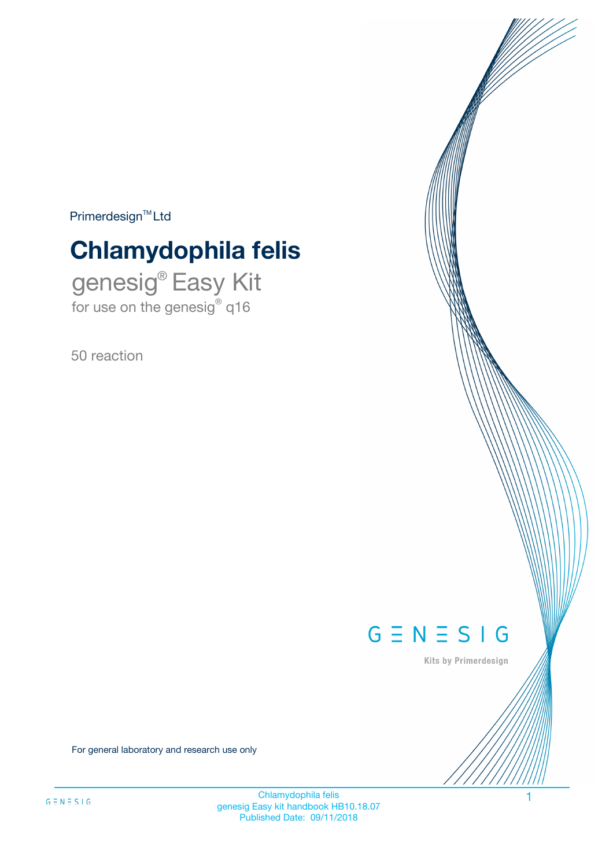$Primerdesign^{\text{TM}}Ltd$ 

# **Chlamydophila felis**

genesig® Easy Kit for use on the genesig® q16

50 reaction



Kits by Primerdesign

For general laboratory and research use only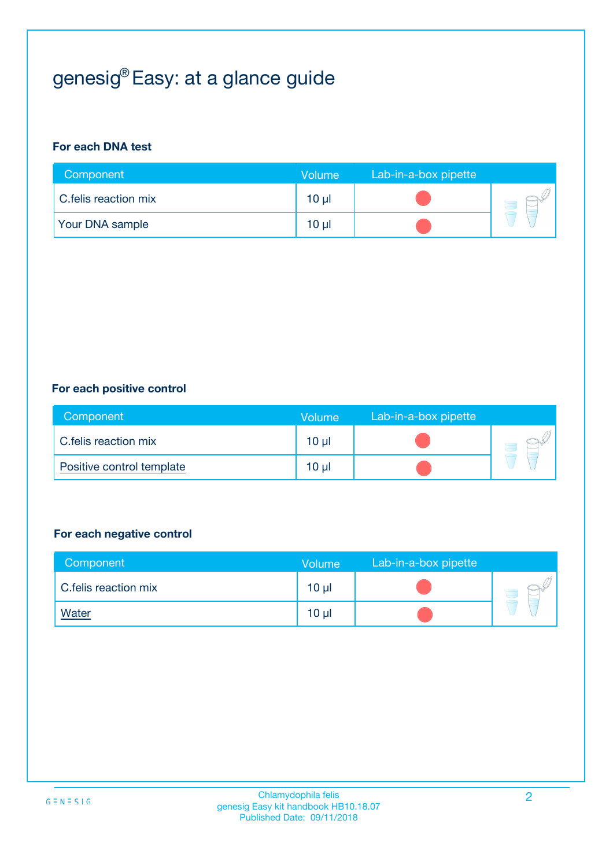# genesig® Easy: at a glance guide

#### **For each DNA test**

| Component              | <b>Volume</b> | Lab-in-a-box pipette |  |
|------------------------|---------------|----------------------|--|
| C.felis reaction mix   | 10 µl         |                      |  |
| <b>Your DNA sample</b> | $10 \mu$      |                      |  |

#### **For each positive control**

| Component                 | Volume          | Lab-in-a-box pipette |  |
|---------------------------|-----------------|----------------------|--|
| C.felis reaction mix      | 10 <sub>µ</sub> |                      |  |
| Positive control template | 10 <sub>µ</sub> |                      |  |

#### **For each negative control**

| Component            | <b>Volume</b>   | Lab-in-a-box pipette |  |
|----------------------|-----------------|----------------------|--|
| C.felis reaction mix | 10 <sub>µ</sub> |                      |  |
| <u>Water</u>         | 10 <sub>µ</sub> |                      |  |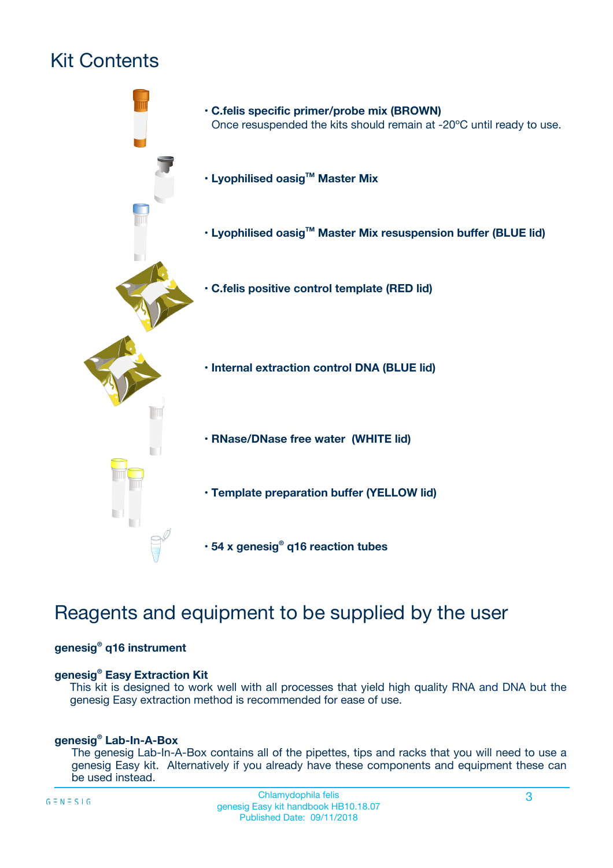# Kit Contents



## Reagents and equipment to be supplied by the user

#### **genesig® q16 instrument**

#### **genesig® Easy Extraction Kit**

This kit is designed to work well with all processes that yield high quality RNA and DNA but the genesig Easy extraction method is recommended for ease of use.

#### **genesig® Lab-In-A-Box**

The genesig Lab-In-A-Box contains all of the pipettes, tips and racks that you will need to use a genesig Easy kit. Alternatively if you already have these components and equipment these can be used instead.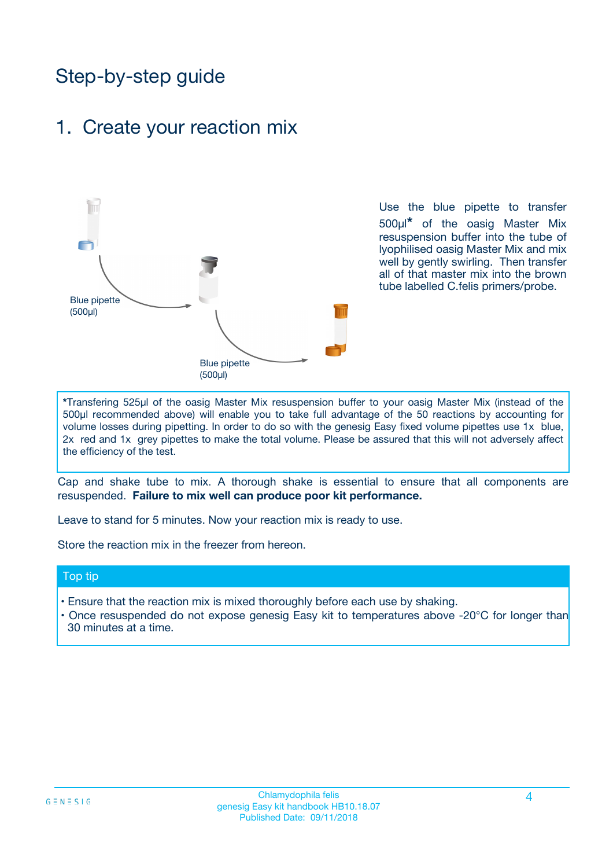## Step-by-step guide

### 1. Create your reaction mix



Use the blue pipette to transfer 500µl**\*** of the oasig Master Mix resuspension buffer into the tube of lyophilised oasig Master Mix and mix well by gently swirling. Then transfer all of that master mix into the brown tube labelled C.felis primers/probe.

**\***Transfering 525µl of the oasig Master Mix resuspension buffer to your oasig Master Mix (instead of the 500µl recommended above) will enable you to take full advantage of the 50 reactions by accounting for volume losses during pipetting. In order to do so with the genesig Easy fixed volume pipettes use 1x blue, 2x red and 1x grey pipettes to make the total volume. Please be assured that this will not adversely affect the efficiency of the test.

Cap and shake tube to mix. A thorough shake is essential to ensure that all components are resuspended. **Failure to mix well can produce poor kit performance.**

Leave to stand for 5 minutes. Now your reaction mix is ready to use.

Store the reaction mix in the freezer from hereon.

#### Top tip

- Ensure that the reaction mix is mixed thoroughly before each use by shaking.
- **•** Once resuspended do not expose genesig Easy kit to temperatures above -20°C for longer than 30 minutes at a time.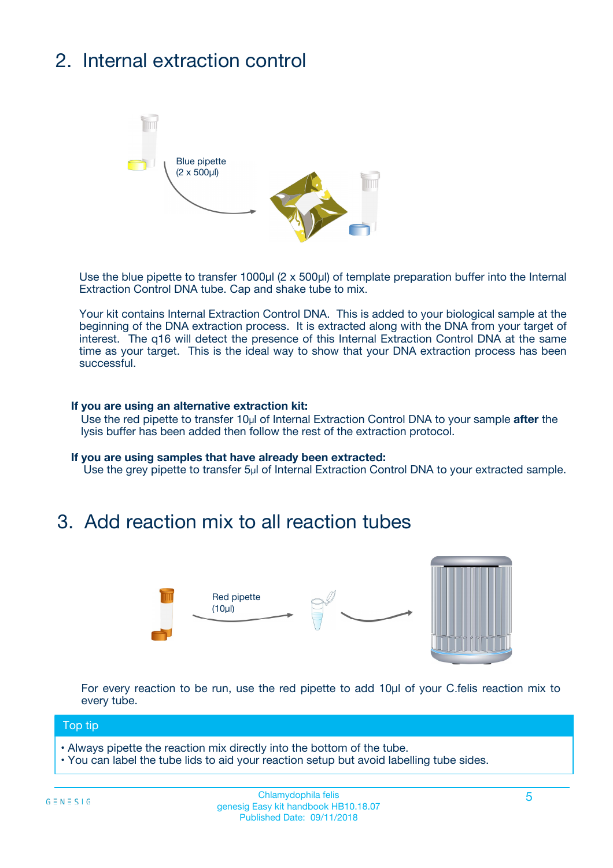# 2. Internal extraction control



Use the blue pipette to transfer 1000µl (2 x 500µl) of template preparation buffer into the Internal Extraction Control DNA tube. Cap and shake tube to mix.

Your kit contains Internal Extraction Control DNA. This is added to your biological sample at the beginning of the DNA extraction process. It is extracted along with the DNA from your target of interest. The q16 will detect the presence of this Internal Extraction Control DNA at the same time as your target. This is the ideal way to show that your DNA extraction process has been **successful.** 

#### **If you are using an alternative extraction kit:**

Use the red pipette to transfer 10µl of Internal Extraction Control DNA to your sample **after** the lysis buffer has been added then follow the rest of the extraction protocol.

#### **If you are using samples that have already been extracted:**

Use the grey pipette to transfer 5µl of Internal Extraction Control DNA to your extracted sample.

### 3. Add reaction mix to all reaction tubes



For every reaction to be run, use the red pipette to add 10µl of your C.felis reaction mix to every tube.

#### Top tip

- Always pipette the reaction mix directly into the bottom of the tube.
- You can label the tube lids to aid your reaction setup but avoid labelling tube sides.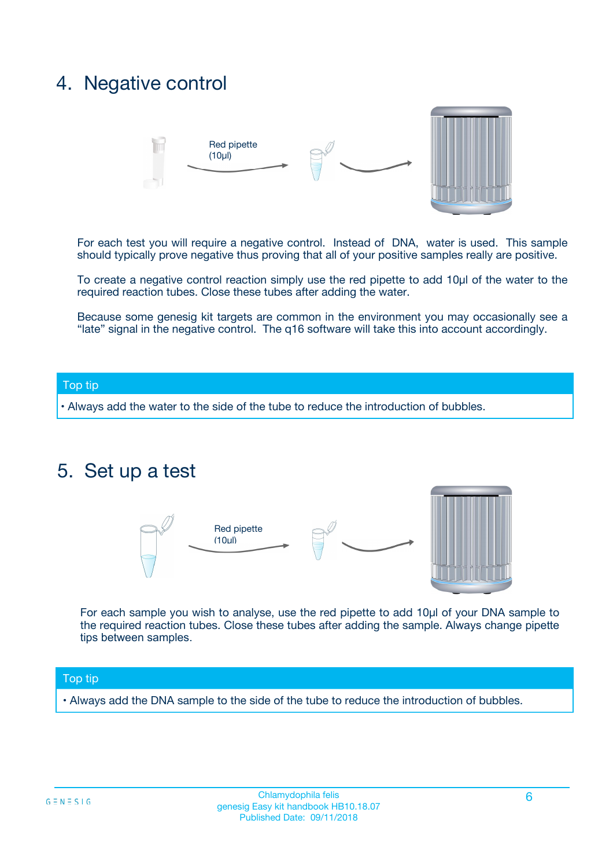### 4. Negative control



For each test you will require a negative control. Instead of DNA, water is used. This sample should typically prove negative thus proving that all of your positive samples really are positive.

To create a negative control reaction simply use the red pipette to add 10µl of the water to the required reaction tubes. Close these tubes after adding the water.

Because some genesig kit targets are common in the environment you may occasionally see a "late" signal in the negative control. The q16 software will take this into account accordingly.

#### Top tip

**•** Always add the water to the side of the tube to reduce the introduction of bubbles.

### 5. Set up a test



For each sample you wish to analyse, use the red pipette to add 10µl of your DNA sample to the required reaction tubes. Close these tubes after adding the sample. Always change pipette tips between samples.

#### Top tip

**•** Always add the DNA sample to the side of the tube to reduce the introduction of bubbles.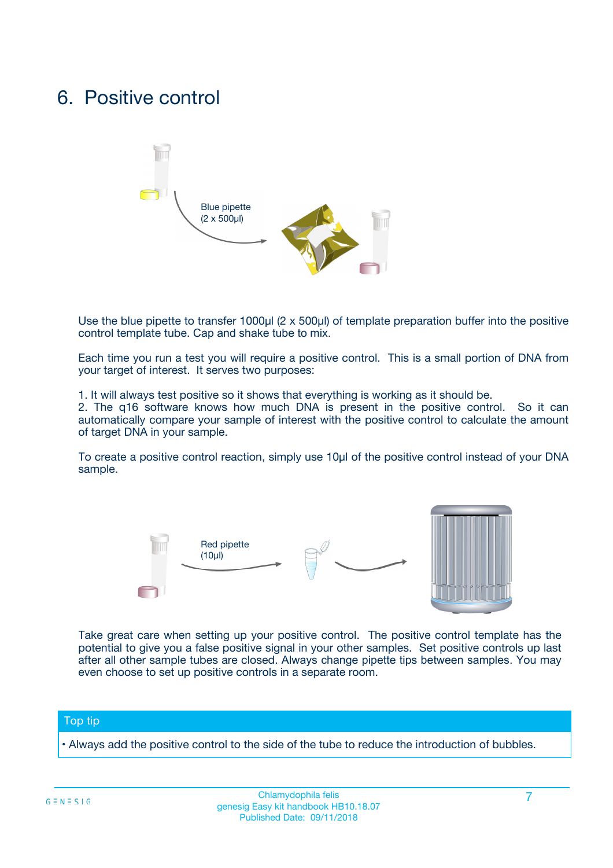### 6. Positive control



Use the blue pipette to transfer 1000µl (2 x 500µl) of template preparation buffer into the positive control template tube. Cap and shake tube to mix.

Each time you run a test you will require a positive control. This is a small portion of DNA from your target of interest. It serves two purposes:

1. It will always test positive so it shows that everything is working as it should be.

2. The q16 software knows how much DNA is present in the positive control. So it can automatically compare your sample of interest with the positive control to calculate the amount of target DNA in your sample.

To create a positive control reaction, simply use 10µl of the positive control instead of your DNA sample.



Take great care when setting up your positive control. The positive control template has the potential to give you a false positive signal in your other samples. Set positive controls up last after all other sample tubes are closed. Always change pipette tips between samples. You may even choose to set up positive controls in a separate room.

#### Top tip

**•** Always add the positive control to the side of the tube to reduce the introduction of bubbles.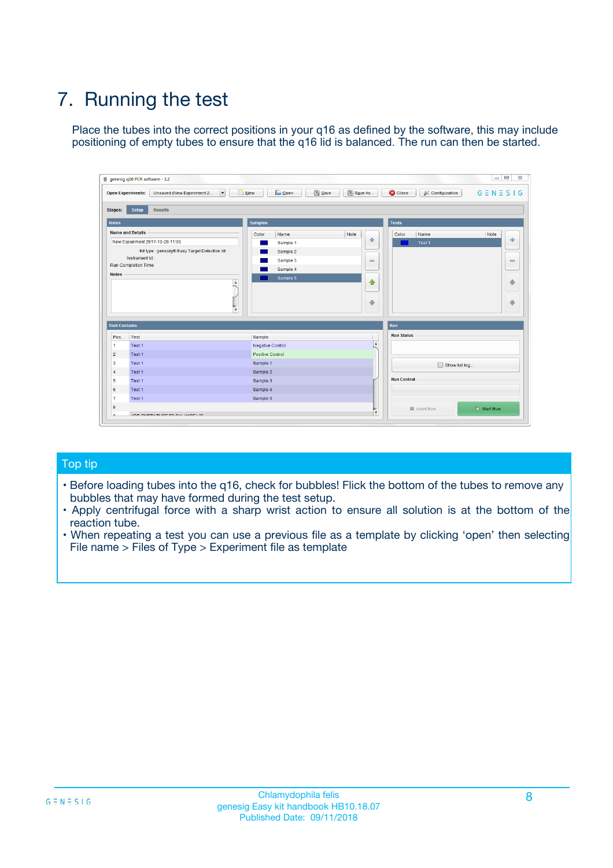# 7. Running the test

Place the tubes into the correct positions in your q16 as defined by the software, this may include positioning of empty tubes to ensure that the q16 lid is balanced. The run can then be started.

| genesig q16 PCR software - 1.2                                               |                                     | $\Box$                                                                                  |
|------------------------------------------------------------------------------|-------------------------------------|-----------------------------------------------------------------------------------------|
| Unsaved (New Experiment 2<br>$\vert \cdot \vert$<br><b>Open Experiments:</b> | <b>D</b> Open<br>Save<br>$\Box$ New | Save As<br><b>C</b> Close<br>$G \equiv N \equiv S \mid G$<br><b>&amp; Configuration</b> |
| Setup<br><b>Results</b><br><b>Stages:</b>                                    |                                     |                                                                                         |
| <b>Notes</b>                                                                 | Samples                             | <b>Tests</b>                                                                            |
| <b>Name and Details</b>                                                      | Color<br>Name                       | Note<br>Color<br>Note<br>Name                                                           |
| New Experiment 2017-10-26 11:06                                              | Sample 1                            | 条<br>علي<br>Test 1                                                                      |
| Kit type: genesig® Easy Target Detection kit                                 | Sample 2                            |                                                                                         |
| Instrument Id.:                                                              | Sample 3                            | $\qquad \qquad \blacksquare$<br>$\qquad \qquad \blacksquare$                            |
| Run Completion Time:                                                         | Sample 4                            |                                                                                         |
| <b>Notes</b>                                                                 | Sample 5<br>A<br>v                  | $\triangle$<br>4<br>$\oplus$<br>₩                                                       |
| <b>Well Contents</b>                                                         |                                     | <b>Run</b>                                                                              |
| Pos.<br>Test                                                                 | Sample                              | <b>Run Status</b>                                                                       |
| Test 1<br>-1                                                                 | <b>Negative Control</b>             | $\blacktriangle$                                                                        |
| $\overline{2}$<br>Test 1                                                     | <b>Positive Control</b>             |                                                                                         |
| $\overline{\mathbf{3}}$<br>Test 1                                            | Sample 1                            | Show full log                                                                           |
| Test 1<br>$\overline{4}$                                                     | Sample 2                            |                                                                                         |
| 5<br>Test 1                                                                  | Sample 3                            | <b>Run Control</b>                                                                      |
| 6<br>Test 1                                                                  | Sample 4                            |                                                                                         |
| $\overline{7}$<br>Test 1                                                     | Sample 5                            |                                                                                         |
| 8                                                                            |                                     | $\triangleright$ Start Run<br>Abort Run                                                 |
| <b>JOD FURTY TUDE TO BUILDED IN</b>                                          |                                     | $\overline{\mathbf{v}}$                                                                 |

#### Top tip

- Before loading tubes into the q16, check for bubbles! Flick the bottom of the tubes to remove any bubbles that may have formed during the test setup.
- Apply centrifugal force with a sharp wrist action to ensure all solution is at the bottom of the reaction tube.
- When repeating a test you can use a previous file as a template by clicking 'open' then selecting File name > Files of Type > Experiment file as template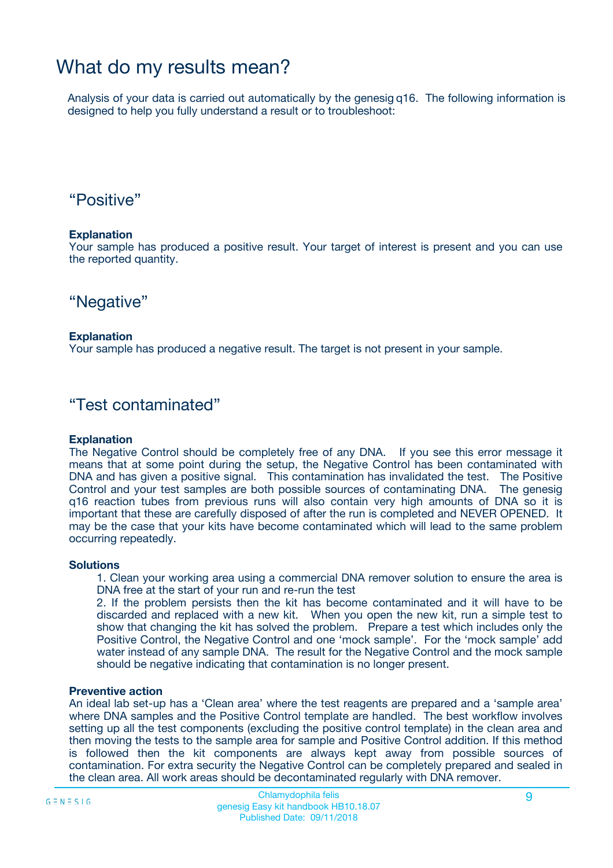## What do my results mean?

Analysis of your data is carried out automatically by the genesig q16. The following information is designed to help you fully understand a result or to troubleshoot:

### "Positive"

#### **Explanation**

Your sample has produced a positive result. Your target of interest is present and you can use the reported quantity.

"Negative"

#### **Explanation**

Your sample has produced a negative result. The target is not present in your sample.

### "Test contaminated"

#### **Explanation**

The Negative Control should be completely free of any DNA. If you see this error message it means that at some point during the setup, the Negative Control has been contaminated with DNA and has given a positive signal. This contamination has invalidated the test. The Positive Control and your test samples are both possible sources of contaminating DNA. The genesig q16 reaction tubes from previous runs will also contain very high amounts of DNA so it is important that these are carefully disposed of after the run is completed and NEVER OPENED. It may be the case that your kits have become contaminated which will lead to the same problem occurring repeatedly.

#### **Solutions**

1. Clean your working area using a commercial DNA remover solution to ensure the area is DNA free at the start of your run and re-run the test

2. If the problem persists then the kit has become contaminated and it will have to be discarded and replaced with a new kit. When you open the new kit, run a simple test to show that changing the kit has solved the problem. Prepare a test which includes only the Positive Control, the Negative Control and one 'mock sample'. For the 'mock sample' add water instead of any sample DNA. The result for the Negative Control and the mock sample should be negative indicating that contamination is no longer present.

#### **Preventive action**

An ideal lab set-up has a 'Clean area' where the test reagents are prepared and a 'sample area' where DNA samples and the Positive Control template are handled. The best workflow involves setting up all the test components (excluding the positive control template) in the clean area and then moving the tests to the sample area for sample and Positive Control addition. If this method is followed then the kit components are always kept away from possible sources of contamination. For extra security the Negative Control can be completely prepared and sealed in the clean area. All work areas should be decontaminated regularly with DNA remover.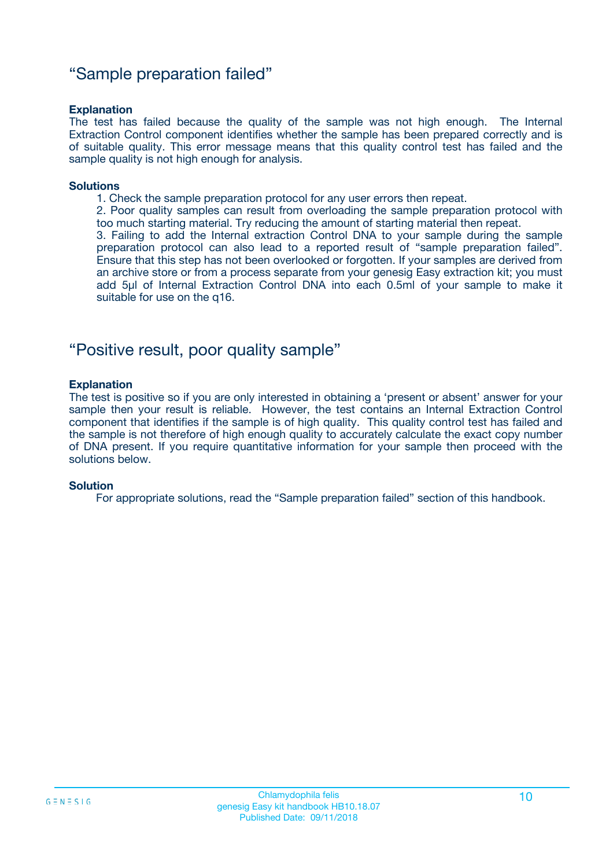### "Sample preparation failed"

#### **Explanation**

The test has failed because the quality of the sample was not high enough. The Internal Extraction Control component identifies whether the sample has been prepared correctly and is of suitable quality. This error message means that this quality control test has failed and the sample quality is not high enough for analysis.

#### **Solutions**

1. Check the sample preparation protocol for any user errors then repeat.

2. Poor quality samples can result from overloading the sample preparation protocol with too much starting material. Try reducing the amount of starting material then repeat.

3. Failing to add the Internal extraction Control DNA to your sample during the sample preparation protocol can also lead to a reported result of "sample preparation failed". Ensure that this step has not been overlooked or forgotten. If your samples are derived from an archive store or from a process separate from your genesig Easy extraction kit; you must add 5µl of Internal Extraction Control DNA into each 0.5ml of your sample to make it suitable for use on the q16.

### "Positive result, poor quality sample"

#### **Explanation**

The test is positive so if you are only interested in obtaining a 'present or absent' answer for your sample then your result is reliable. However, the test contains an Internal Extraction Control component that identifies if the sample is of high quality. This quality control test has failed and the sample is not therefore of high enough quality to accurately calculate the exact copy number of DNA present. If you require quantitative information for your sample then proceed with the solutions below.

#### **Solution**

For appropriate solutions, read the "Sample preparation failed" section of this handbook.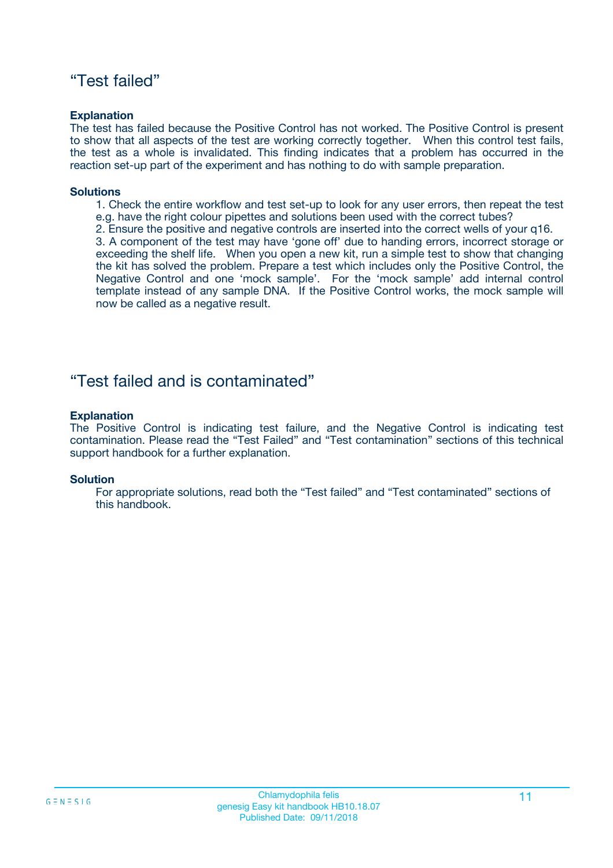### "Test failed"

#### **Explanation**

The test has failed because the Positive Control has not worked. The Positive Control is present to show that all aspects of the test are working correctly together. When this control test fails, the test as a whole is invalidated. This finding indicates that a problem has occurred in the reaction set-up part of the experiment and has nothing to do with sample preparation.

#### **Solutions**

- 1. Check the entire workflow and test set-up to look for any user errors, then repeat the test e.g. have the right colour pipettes and solutions been used with the correct tubes?
- 2. Ensure the positive and negative controls are inserted into the correct wells of your q16.

3. A component of the test may have 'gone off' due to handing errors, incorrect storage or exceeding the shelf life. When you open a new kit, run a simple test to show that changing the kit has solved the problem. Prepare a test which includes only the Positive Control, the Negative Control and one 'mock sample'. For the 'mock sample' add internal control template instead of any sample DNA. If the Positive Control works, the mock sample will now be called as a negative result.

### "Test failed and is contaminated"

#### **Explanation**

The Positive Control is indicating test failure, and the Negative Control is indicating test contamination. Please read the "Test Failed" and "Test contamination" sections of this technical support handbook for a further explanation.

#### **Solution**

For appropriate solutions, read both the "Test failed" and "Test contaminated" sections of this handbook.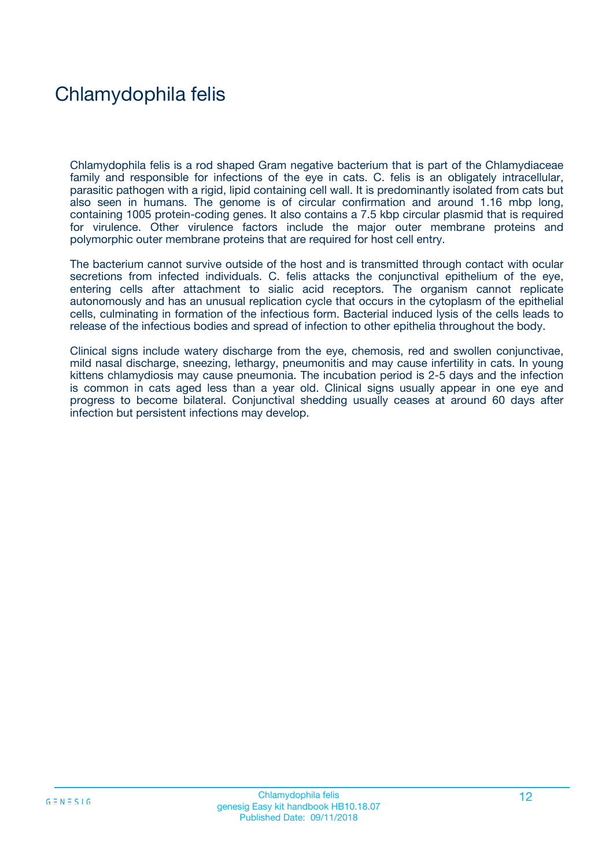## Chlamydophila felis

Chlamydophila felis is a rod shaped Gram negative bacterium that is part of the Chlamydiaceae family and responsible for infections of the eye in cats. C. felis is an obligately intracellular, parasitic pathogen with a rigid, lipid containing cell wall. It is predominantly isolated from cats but also seen in humans. The genome is of circular confirmation and around 1.16 mbp long, containing 1005 protein-coding genes. It also contains a 7.5 kbp circular plasmid that is required for virulence. Other virulence factors include the major outer membrane proteins and polymorphic outer membrane proteins that are required for host cell entry.

The bacterium cannot survive outside of the host and is transmitted through contact with ocular secretions from infected individuals. C. felis attacks the conjunctival epithelium of the eye, entering cells after attachment to sialic acid receptors. The organism cannot replicate autonomously and has an unusual replication cycle that occurs in the cytoplasm of the epithelial cells, culminating in formation of the infectious form. Bacterial induced lysis of the cells leads to release of the infectious bodies and spread of infection to other epithelia throughout the body.

Clinical signs include watery discharge from the eye, chemosis, red and swollen conjunctivae, mild nasal discharge, sneezing, lethargy, pneumonitis and may cause infertility in cats. In young kittens chlamydiosis may cause pneumonia. The incubation period is 2-5 days and the infection is common in cats aged less than a year old. Clinical signs usually appear in one eye and progress to become bilateral. Conjunctival shedding usually ceases at around 60 days after infection but persistent infections may develop.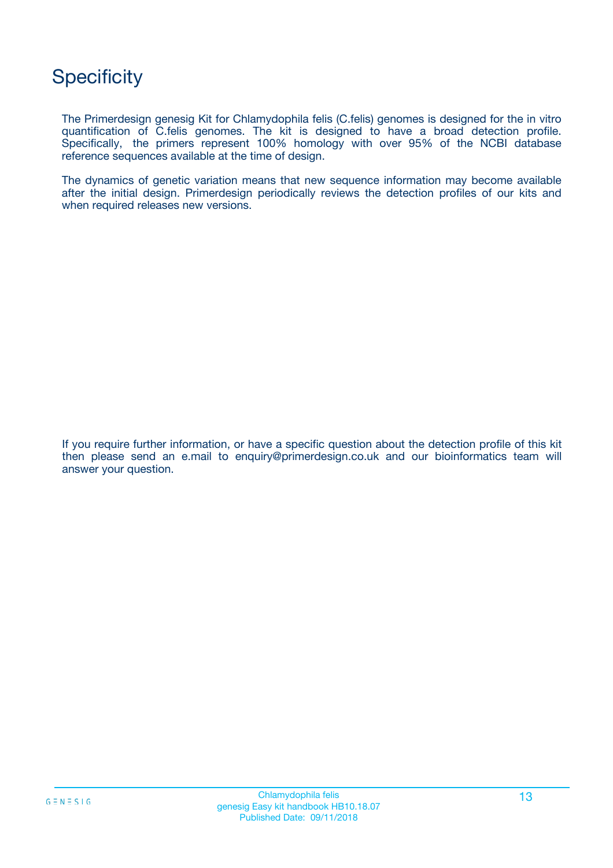## **Specificity**

The Primerdesign genesig Kit for Chlamydophila felis (C.felis) genomes is designed for the in vitro quantification of C.felis genomes. The kit is designed to have a broad detection profile. Specifically, the primers represent 100% homology with over 95% of the NCBI database reference sequences available at the time of design.

The dynamics of genetic variation means that new sequence information may become available after the initial design. Primerdesign periodically reviews the detection profiles of our kits and when required releases new versions.

If you require further information, or have a specific question about the detection profile of this kit then please send an e.mail to enquiry@primerdesign.co.uk and our bioinformatics team will answer your question.